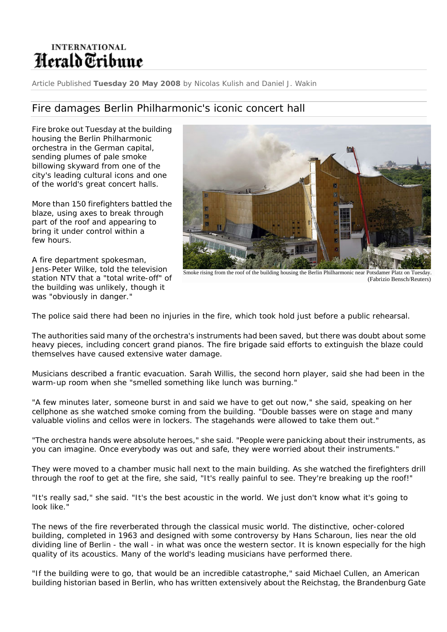## **INTERNATIONAL** Herald Tribune

Article Published **Tuesday 20 May 2008** by Nicolas Kulish and Daniel J. Wakin

## Fire damages Berlin Philharmonic's iconic concert hall

Fire broke out Tuesday at the building housing the Berlin Philharmonic orchestra in the German capital, sending plumes of pale smoke billowing skyward from one of the city's leading cultural icons and one of the world's great concert halls.

More than 150 firefighters battled the blaze, using axes to break through part of the roof and appearing to bring it under control within a few hours.

A fire department spokesman, Jens-Peter Wilke, told the television station NTV that a "total write-off" of the building was unlikely, though it was "obviously in danger."



Smoke rising from the roof of the building housing the Berlin Philharmonic near Potsdamer Platz on Tuesday. (Fabrizio Bensch/Reuters)

The police said there had been no injuries in the fire, which took hold just before a public rehearsal.

The authorities said many of the orchestra's instruments had been saved, but there was doubt about some heavy pieces, including concert grand pianos. The fire brigade said efforts to extinguish the blaze could themselves have caused extensive water damage.

Musicians described a frantic evacuation. Sarah Willis, the second horn player, said she had been in the warm-up room when she "smelled something like lunch was burning."

"A few minutes later, someone burst in and said we have to get out now," she said, speaking on her cellphone as she watched smoke coming from the building. "Double basses were on stage and many valuable violins and cellos were in lockers. The stagehands were allowed to take them out."

"The orchestra hands were absolute heroes," she said. "People were panicking about their instruments, as you can imagine. Once everybody was out and safe, they were worried about their instruments."

They were moved to a chamber music hall next to the main building. As she watched the firefighters drill through the roof to get at the fire, she said, "It's really painful to see. They're breaking up the roof!"

"It's really sad," she said. "It's the best acoustic in the world. We just don't know what it's going to look like."

The news of the fire reverberated through the classical music world. The distinctive, ocher-colored building, completed in 1963 and designed with some controversy by Hans Scharoun, lies near the old dividing line of Berlin - the wall - in what was once the western sector. It is known especially for the high quality of its acoustics. Many of the world's leading musicians have performed there.

"If the building were to go, that would be an incredible catastrophe," said Michael Cullen, an American building historian based in Berlin, who has written extensively about the Reichstag, the Brandenburg Gate